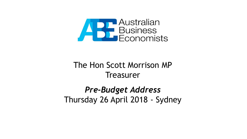

#### The Hon Scott Morrison MP **Treasurer**

#### *Pre-Budget Address* Thursday 26 April 2018 - Sydney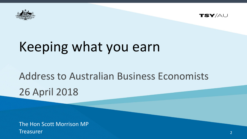



# Keeping what you earn

## Address to Australian Business Economists 26 April 2018

The Hon Scott Morrison MP **Treasurer**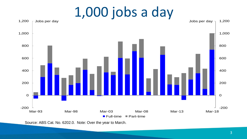1,000 jobs a day



Source: ABS Cat. No. 6202.0. Note: Over the year to March.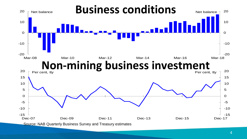

<sup>4</sup>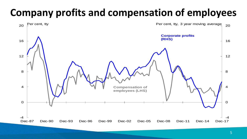### **Company profits and compensation of employees**

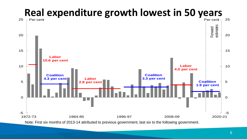## **Real expenditure growth lowest in 50 years**

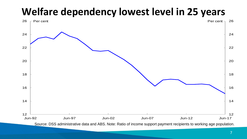#### **Welfare dependency lowest level in 25 years**

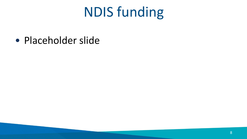# NDIS funding

• Placeholder slide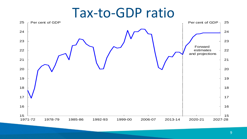### Tax-to-GDP ratio

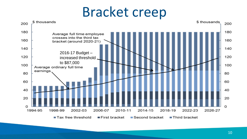## Bracket creep

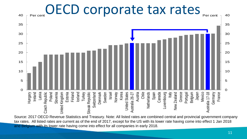

Source: 2017 OECD Revenue Statistics and Treasury. Note: All listed rates are combined central and provincial government company tax rates. All listed rates are current as of the end of 2017, except for the US with its lower rate having come into effect 1 Jan 2018 and Belgium with its lower rate having come into effect for all companies in early 2018.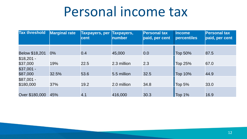## Personal income tax

| <b>Tax threshold</b> | Marginal rate | <b>Taxpayers, per</b><br><b>cent</b> | Taxpayers,<br>number | <b>Personal tax</b><br>paid, per cent | <b>Income</b><br>percentiles | <b>Personal tax</b><br>paid, per cent |
|----------------------|---------------|--------------------------------------|----------------------|---------------------------------------|------------------------------|---------------------------------------|
|                      |               |                                      |                      |                                       |                              |                                       |
| Below \$18,201       | $0\%$         | 0.4                                  | 45,000               | 0.0                                   | Top 50%                      | 87.5                                  |
| $$18,201 -$          |               |                                      |                      |                                       |                              |                                       |
| \$37,000             | 19%           | 22.5                                 | 2.3 million          | 2.3                                   | Top 25%                      | 67.0                                  |
| $$37,001 -$          |               |                                      |                      |                                       |                              |                                       |
| \$87,000             | 32.5%         | 53.6                                 | 5.5 million          | 32.5                                  | <b>Top 10%</b>               | 44.9                                  |
| $$87,001 -$          |               |                                      |                      |                                       |                              |                                       |
| \$180,000            | 37%           | 19.2                                 | 2.0 million          | 34.8                                  | Top 5%                       | 33.0                                  |
|                      |               |                                      |                      |                                       |                              |                                       |
| Over \$180,000       | 45%           | 4.1                                  | 416,000              | 30.3                                  | Top 1%                       | 16.9                                  |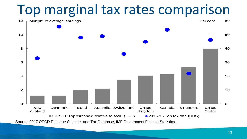

Source: 2017 OECD Revenue Statistics and Tax Database, IMF Government Finance Statistics.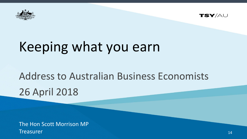



# Keeping what you earn

## Address to Australian Business Economists 26 April 2018

The Hon Scott Morrison MP **Treasurer**